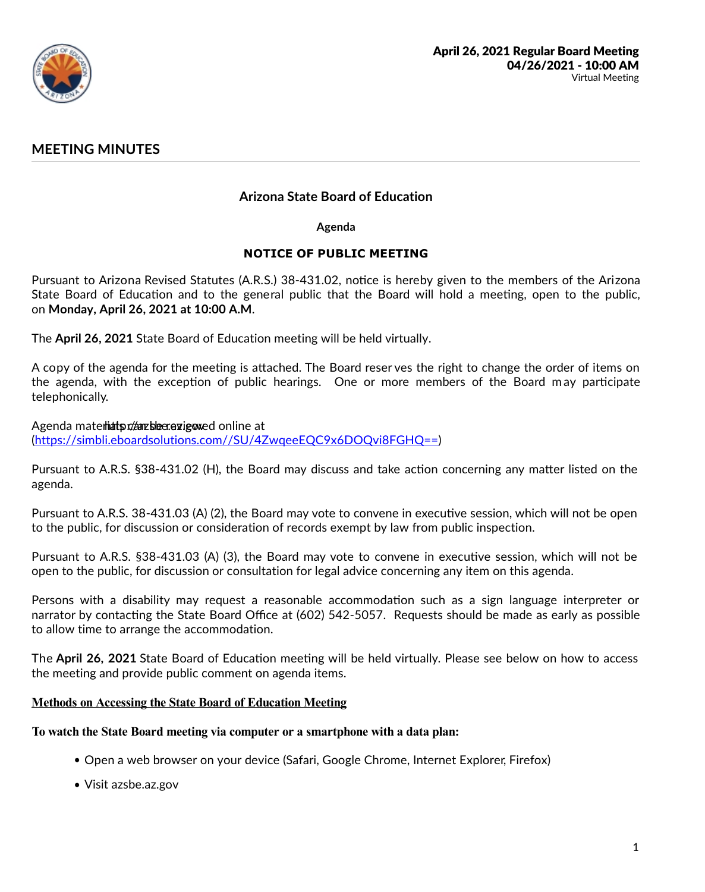

# **MEETING MINUTES**

# **Arizona State Board of Education**

**Agenda**

## **NOTICE OF PUBLIC MEETING**

Pursuant to Arizona Revised Statutes (A.R.S.) 38-431.02, notice is hereby given to the members of the Arizona State Board of Education and to the general public that the Board will hold a meeting, open to the public, on Monday, April 26, 2021 at 10:00 A.M.

The **April 26, 2021** State Board of Education meeting will be held virtually.

A copy of the agenda for the meeting is attached. The Board reser ves the right to change the order of items on the agenda, with the exception of public hearings. One or more members of the Board may participate telephonically.

# Agenda materhiats maximation and an almost online at

(https://simbli.eboardsolutions.com//SU/4ZwqeeEQC9x6DOQvi8FGHQ==)

Pursuant to A.R.S. §38-431.02 (H), the Board may discuss and take action concerning any matter listed on the agenda.

Pursuant to A.R.S. 38-431.03 (A) (2), the Board may vote to convene in executive session, which will not be open to the public, for discussion or consideration of records exempt by law from public inspection.

Pursuant to A.R.S. §38-431.03 (A) (3), the Board may vote to convene in executive session, which will not be open to the public, for discussion or consultation for legal advice concerning any item on this agenda.

Persons with a disability may request a reasonable accommodation such as a sign language interpreter or narrator by contacting the State Board Office at (602) 542-5057. Requests should be made as early as possible to allow time to arrange the accommodation.

The **April 26, 2021** State Board of Education meeting will be held virtually. Please see below on how to access the meeting and provide public comment on agenda items.

## **Methods on Accessing the State Board of Education Meeting**

#### **To watch the State Board meeting via computer or a smartphone with a data plan:**

- Open a web browser on your device (Safari, Google Chrome, Internet Explorer, Firefox)
- Visit azsbe.az.gov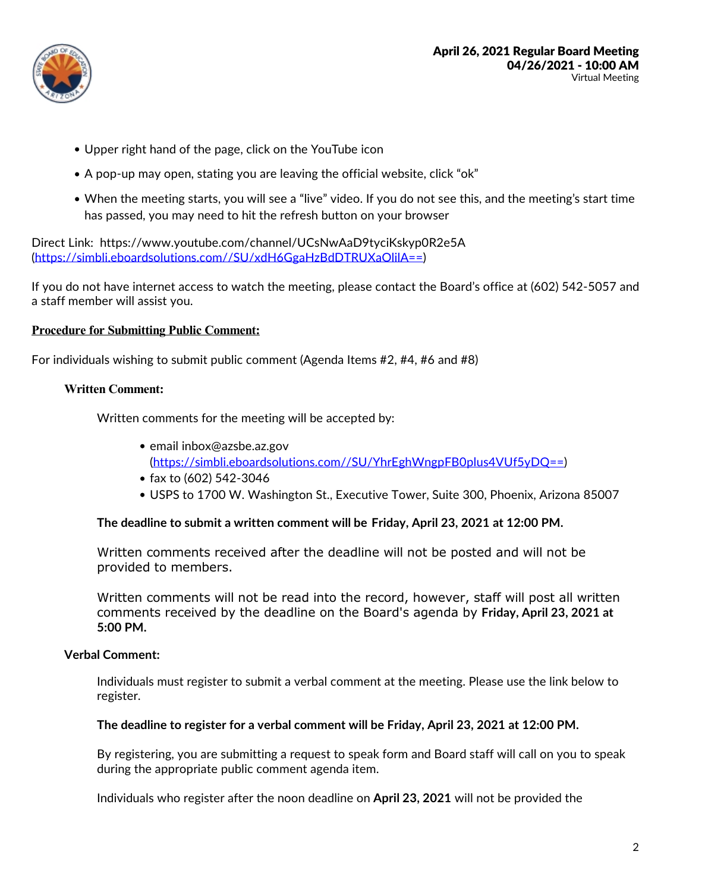

- Upper right hand of the page, click on the YouTube icon
- A pop-up may open, stating you are leaving the official website, click "ok"
- When the meeting starts, you will see a "live" video. If you do not see this, and the meeting's start time has passed, you may need to hit the refresh button on your browser

Direct Link: https://www.youtube.com/channel/UCsNwAaD9tyciKskyp0R2e5A (https://simbli.eboardsolutions.com//SU/xdH6GgaHzBdDTRUXaOlilA==)

If you do not have internet access to watch the meeting, please contact the Board's office at (602) 542-5057 and a staff member will assist you.

#### **Procedure for Submitting Public Comment:**

For individuals wishing to submit public comment (Agenda Items #2, #4, #6 and #8)

#### **Written Comment:**

Written comments for the meeting will be accepted by:

- email inbox@azsbe.az.gov (https://simbli.eboardsolutions.com//SU/YhrEghWngpFB0plus4VUf5yDQ==)
- $\bullet$  fax to (602) 542-3046
- USPS to 1700 W. Washington St., Executive Tower, Suite 300, Phoenix, Arizona 85007

#### **The deadline to submit a written comment will be Friday, April 23, 2021 at 12:00 PM.**

Written comments received after the deadline will not be posted and will not be provided to members.

Written comments will not be read into the record, however, staff will post all written comments received by the deadline on the Board's agenda by **Friday, April 23, 2021 at 5:00 PM.**

#### **Verbal Comment:**

Individuals must register to submit a verbal comment at the meeting. Please use the link below to register.

**The deadline to register for a verbal comment will be Friday, April 23, 2021 at 12:00 PM.**

By registering, you are submitting a request to speak form and Board staff will call on you to speak during the appropriate public comment agenda item.

Individuals who register after the noon deadline on **April 23, 2021** will not be provided the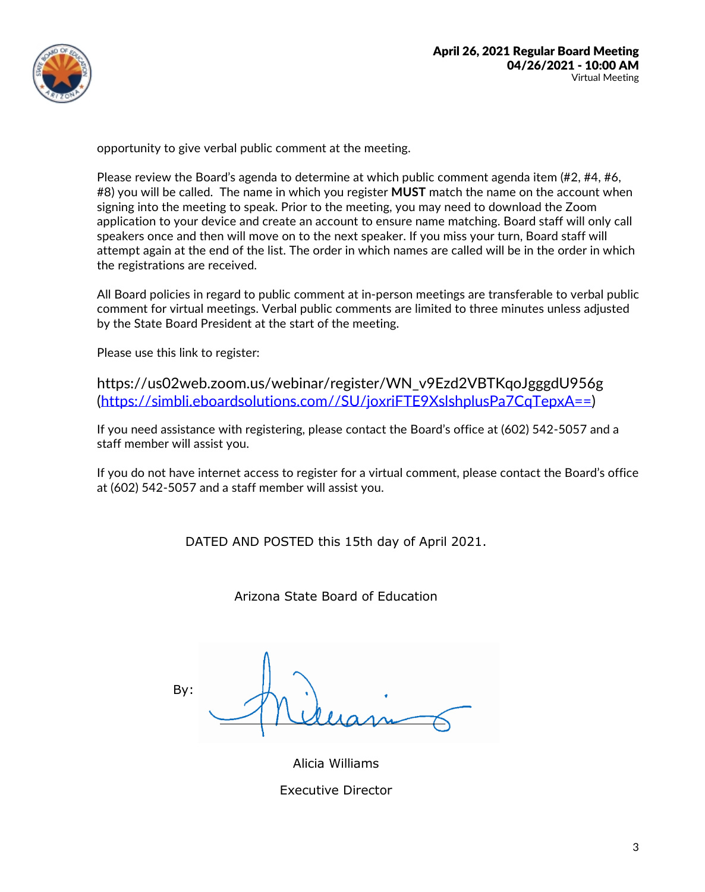

opportunity to give verbal public comment at the meeting.

Please review the Board's agenda to determine at which public comment agenda item (#2, #4, #6, #8) you will be called. The name in which you register **MUST** match the name on the account when signing into the meeting to speak. Prior to the meeting, you may need to download the Zoom application to your device and create an account to ensure name matching. Board staff will only call speakers once and then will move on to the next speaker. If you miss your turn, Board staff will attempt again at the end of the list. The order in which names are called will be in the order in which the registrations are received.

All Board policies in regard to public comment at in-person meetings are transferable to verbal public comment for virtual meetings. Verbal public comments are limited to three minutes unless adjusted by the State Board President at the start of the meeting.

Please use this link to register:

https://us02web.zoom.us/webinar/register/WN\_v9Ezd2VBTKqoJgggdU956g (https://simbli.eboardsolutions.com//SU/joxriFTE9XslshplusPa7CqTepxA==)

If you need assistance with registering, please contact the Board's office at (602) 542-5057 and a staff member will assist you.

If you do not have internet access to register for a virtual comment, please contact the Board's office at (602) 542-5057 and a staff member will assist you.

DATED AND POSTED this 15th day of April 2021.

Arizona State Board of Education

By:

Alicia Williams Executive Director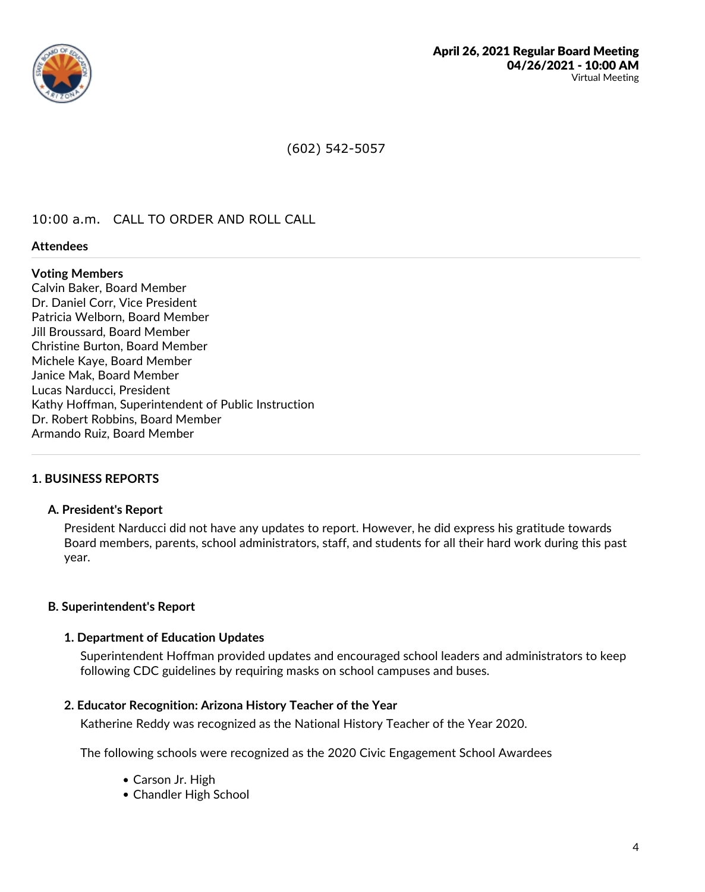

(602) 542-5057

## 10:00 a.m. CALL TO ORDER AND ROLL CALL

#### **Attendees**

#### **Voting Members**

Calvin Baker, Board Member Dr. Daniel Corr, Vice President Patricia Welborn, Board Member Jill Broussard, Board Member Christine Burton, Board Member Michele Kaye, Board Member Janice Mak, Board Member Lucas Narducci, President Kathy Hoffman, Superintendent of Public Instruction Dr. Robert Robbins, Board Member Armando Ruiz, Board Member

## **1. BUSINESS REPORTS**

#### **A. President's Report**

President Narducci did not have any updates to report. However, he did express his gratitude towards Board members, parents, school administrators, staff, and students for all their hard work during this past year.

#### **B. Superintendent's Report**

#### **1. Department of Education Updates**

Superintendent Hoffman provided updates and encouraged school leaders and administrators to keep following CDC guidelines by requiring masks on school campuses and buses.

#### **2. Educator Recognition: Arizona History Teacher of the Year**

Katherine Reddy was recognized as the National History Teacher of the Year 2020.

The following schools were recognized as the 2020 Civic Engagement School Awardees

- Carson Jr. High
- Chandler High School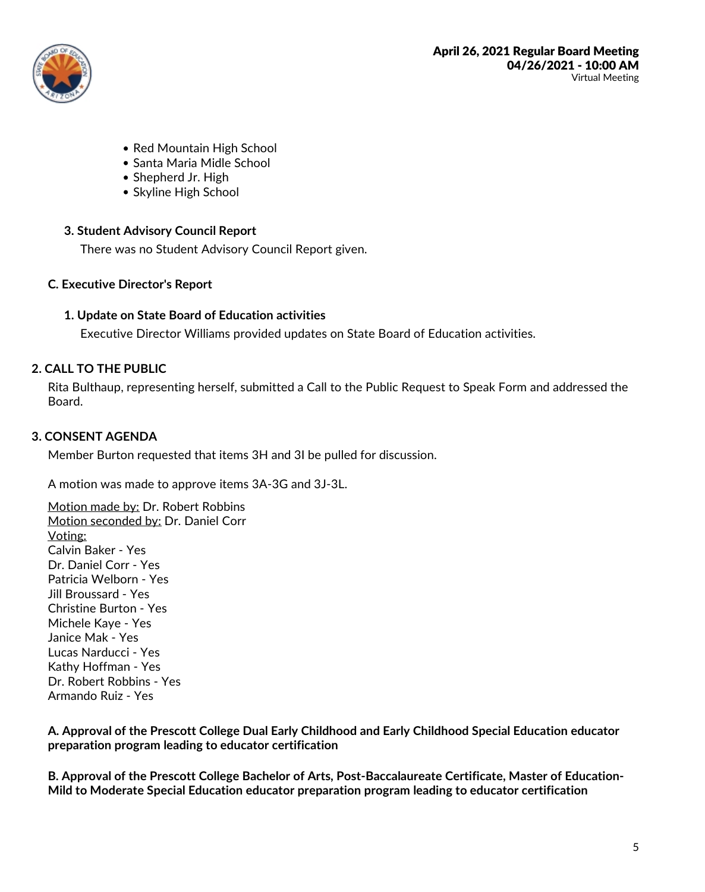

- Red Mountain High School
- Santa Maria Midle School
- Shepherd Jr. High
- Skyline High School

## **3. Student Advisory Council Report**

There was no Student Advisory Council Report given.

## **C. Executive Director's Report**

## **1. Update on State Board of Education activities**

Executive Director Williams provided updates on State Board of Education activities.

## **2. CALL TO THE PUBLIC**

Rita Bulthaup, representing herself, submitted a Call to the Public Request to Speak Form and addressed the Board.

## **3. CONSENT AGENDA**

Member Burton requested that items 3H and 3I be pulled for discussion.

A motion was made to approve items 3A-3G and 3J-3L.

Motion made by: Dr. Robert Robbins Motion seconded by: Dr. Daniel Corr Voting: Calvin Baker - Yes Dr. Daniel Corr - Yes Patricia Welborn - Yes Jill Broussard - Yes Christine Burton - Yes Michele Kaye -Yes Janice Mak - Yes Lucas Narducci - Yes Kathy Hoffman - Yes Dr. Robert Robbins - Yes Armando Ruiz - Yes

**A. Approval of the Prescott College Dual Early Childhood and Early Childhood Special Education educator preparation program leading to educator certification**

B. Approval of the Prescott College Bachelor of Arts, Post-Baccalaureate Certificate, Master of Education-<br>Mild to Moderate Special Education educator preparation program leading to educator certification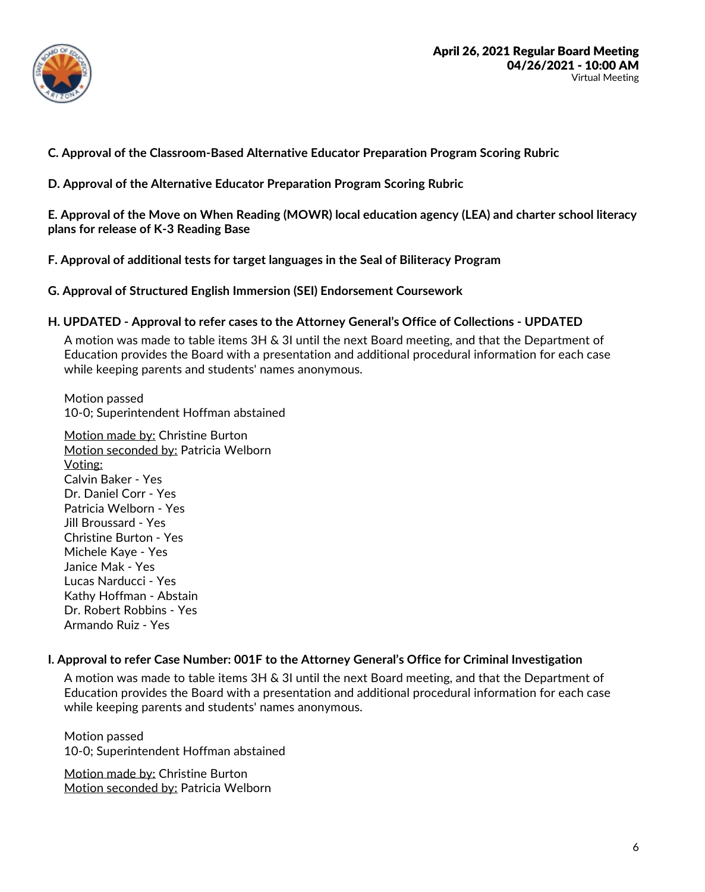

**C. Approval of the Classroom-Based Alternative Educator Preparation Program Scoring Rubric**

**D. Approval of the Alternative Educator Preparation Program Scoring Rubric**

**E. Approval of the Move on When Reading (MOWR) local education agency (LEA) and charter school literacy plans for release of K-3 Reading Base**

**F. Approval of additional tests for target languages in the Seal of Biliteracy Program**

**G. Approval of Structured English Immersion (SEI) Endorsement Coursework**

## **H. UPDATED - Approval to refer cases to the Attorney General's Office of Collections - UPDATED**

A motion was made to table items 3H & 3I until the next Board meeting, and that the Department of Education provides the Board with a presentation and additional procedural information for each case while keeping parents and students' names anonymous.

Motion passed 10-0; Superintendent Hoffman abstained

Motion made by: Christine Burton Motion seconded by: Patricia Welborn Voting: Calvin Baker - Yes Dr. Daniel Corr - Yes Patricia Welborn - Yes Jill Broussard - Yes Christine Burton - Yes Michele Kaye -Yes Janice Mak - Yes Lucas Narducci - Yes Kathy Hoffman - Abstain Dr. Robert Robbins - Yes Armando Ruiz - Yes

## **I. Approval to refer Case Number: 001F to the Attorney General's Office for Criminal Investigation**

A motion was made to table items 3H & 3I until the next Board meeting, and that the Department of Education provides the Board with a presentation and additional procedural information for each case while keeping parents and students' names anonymous.

Motion passed 10-0; Superintendent Hoffman abstained

Motion made by: Christine Burton Motion seconded by: Patricia Welborn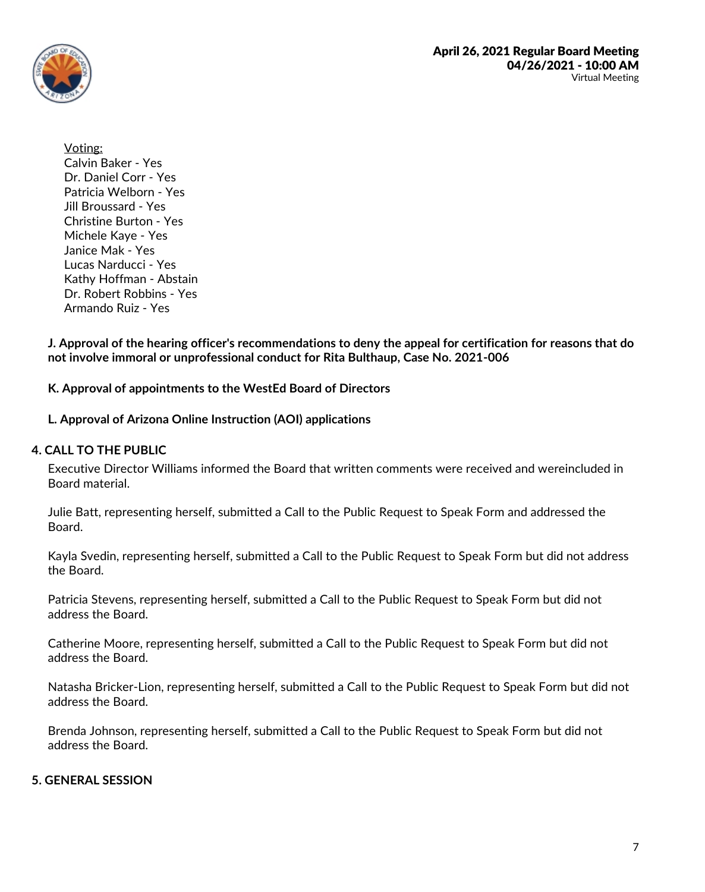

Voting: Calvin Baker - Yes Dr. Daniel Corr - Yes Patricia Welborn - Yes Jill Broussard - Yes Christine Burton - Yes Michele Kaye -Yes Janice Mak - Yes Lucas Narducci - Yes Kathy Hoffman - Abstain Dr. Robert Robbins - Yes Armando Ruiz - Yes

J. Approval of the hearing officer's recommendations to deny the appeal for certification for reasons that do **not involve immoral or unprofessional conduct for Rita Bulthaup, Case No. 2021-006**

**K. Approval of appointments to the WestEd Board of Directors**

**L. Approval of Arizona Online Instruction (AOI) applications**

## **4. CALL TO THE PUBLIC**

Executive Director Williams informed the Board that written comments were received and wereincluded in Board material.

Julie Batt, representing herself, submitted a Call to the Public Request to Speak Form and addressed the Board.

Kayla Svedin, representing herself, submitted a Call to the Public Request to Speak Form but did not address the Board.

Patricia Stevens, representing herself, submitted a Call to the Public Request to Speak Form but did not address the Board.

Catherine Moore, representing herself, submitted a Call to the Public Request to Speak Form but did not address the Board.

Natasha Bricker-Lion, representing herself, submitted a Call to the Public Request to Speak Form but did not address the Board.

Brenda Johnson, representing herself, submitted a Call to the Public Request to Speak Form but did not address the Board.

# **5. GENERAL SESSION**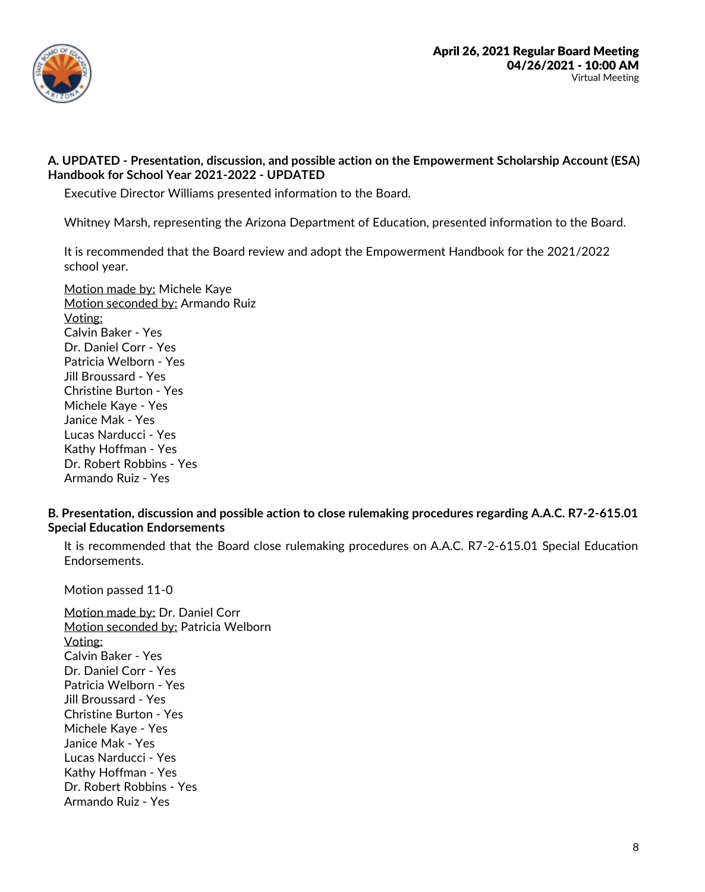

## **A. UPDATED - Presentation, discussion, and possible action on the Empowerment Scholarship Account (ESA) Handbook for School Year 2021-2022 - UPDATED**

Executive Director Williams presented information to the Board.

Whitney Marsh, representing the Arizona Department of Education, presented information to the Board.

It is recommended that the Board review and adopt the Empowerment Handbook for the 2021/2022 school year.

Motion made by: Michele Kaye Motion seconded by: Armando Ruiz Voting: Calvin Baker - Yes Dr. Daniel Corr - Yes Patricia Welborn - Yes Jill Broussard - Yes Christine Burton - Yes Michele Kaye -Yes Janice Mak - Yes Lucas Narducci - Yes Kathy Hoffman - Yes Dr. Robert Robbins - Yes Armando Ruiz - Yes

## **B. Presentation, discussion and possible action to close rulemaking procedures regarding A.A.C. R7-2-615.01 Special Education Endorsements**

It is recommended that the Board close rulemaking procedures on A.A.C. R7-2-615.01 Special Education Endorsements.

Motion passed 11-0

Motion made by: Dr. Daniel Corr Motion seconded by: Patricia Welborn Voting: Calvin Baker - Yes Dr. Daniel Corr - Yes Patricia Welborn - Yes Jill Broussard - Yes Christine Burton - Yes Michele Kaye -Yes Janice Mak -Yes Lucas Narducci - Yes Kathy Hoffman - Yes Dr. Robert Robbins - Yes Armando Ruiz - Yes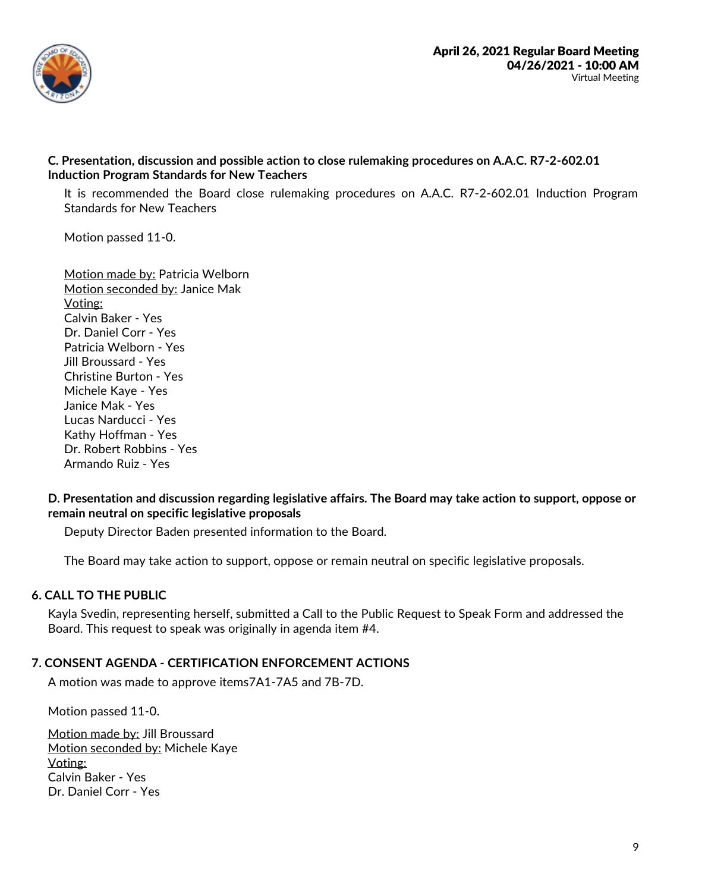

## **C. Presentation, discussion and possible action to close rulemaking procedures on A.A.C. R7-2-602.01 Induction Program Standards for New Teachers**

It is recommended the Board close rulemaking procedures on A.A.C. R7-2-602.01 Induction Program Standards for New Teachers

Motion passed 11-0.

Motion made by: Patricia Welborn Motion seconded by: Janice Mak Voting: Calvin Baker - Yes Dr. Daniel Corr - Yes Patricia Welborn - Yes Jill Broussard - Yes Christine Burton - Yes Michele Kaye -Yes Janice Mak - Yes Lucas Narducci - Yes Kathy Hoffman - Yes Dr. Robert Robbins - Yes Armando Ruiz - Yes

## **D. Presentation and discussion regarding legislative affairs. The Board may take action to support, oppose or remain neutral on specific legislative proposals**

Deputy Director Baden presented information to the Board.

The Board may take action to support, oppose or remain neutral on specific legislative proposals.

# **6. CALL TO THE PUBLIC**

Kayla Svedin, representing herself, submitted a Call to the Public Request to Speak Form and addressed the Board. This request to speak was originally in agenda item #4.

# **7. CONSENT AGENDA - CERTIFICATION ENFORCEMENT ACTIONS**

A motion was made to approve items7A1-7A5 and 7B-7D.

Motion passed 11-0.

Motion made by: Jill Broussard Motion seconded by: Michele Kaye Voting: Calvin Baker - Yes Dr. Daniel Corr - Yes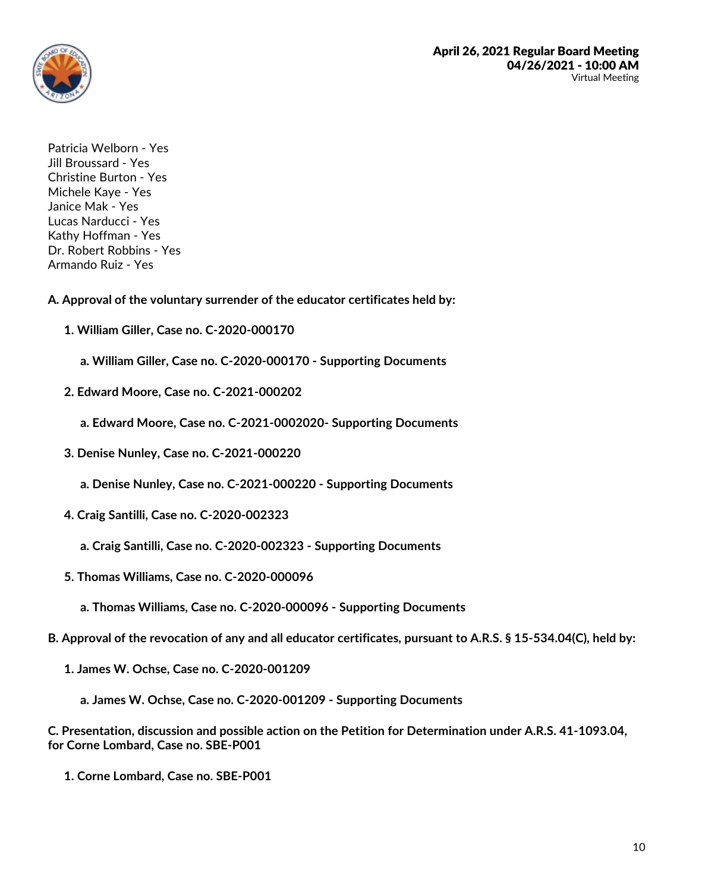

Patricia Welborn - Yes Jill Broussard - Yes Christine Burton - Yes Michele Kaye - Yes Janice Mak - Yes Lucas Narducci - Yes Kathy Hoffman - Yes Dr. Robert Robbins - Yes Armando Ruiz - Yes

**A. Approval of the voluntary surrender of the educator certificates held by:**

- **1. William Giller, Case no. C-2020-000170**
	- **a. William Giller, Case no. C-2020-000170 - Supporting Documents**
- **2. Edward Moore, Case no. C-2021-000202**

**a. Edward Moore, Case no. C-2021-0002020- Supporting Documents**

**3. Denise Nunley, Case no. C-2021-000220**

**a. Denise Nunley, Case no. C-2021-000220 - Supporting Documents**

- **4. Craig Santilli, Case no. C-2020-002323**
	- **a. Craig Santilli, Case no. C-2020-002323 - Supporting Documents**
- **5. Thomas Williams, Case no. C-2020-000096**
	- **a. Thomas Williams, Case no. C-2020-000096 - Supporting Documents**
- B. Approval of the revocation of any and all educator certificates, pursuant to A.R.S. § 15-534.04(C), held by:
	- **1. James W. Ochse, Case no. C-2020-001209**
		- **a. James W. Ochse, Case no. C-2020-001209 - Supporting Documents**

**C. Presentation, discussion and possible action on the Petition for Determination under A.R.S. 41-1093.04, for Corne Lombard, Case no. SBE-P001**

**1. Corne Lombard, Case no. SBE-P001**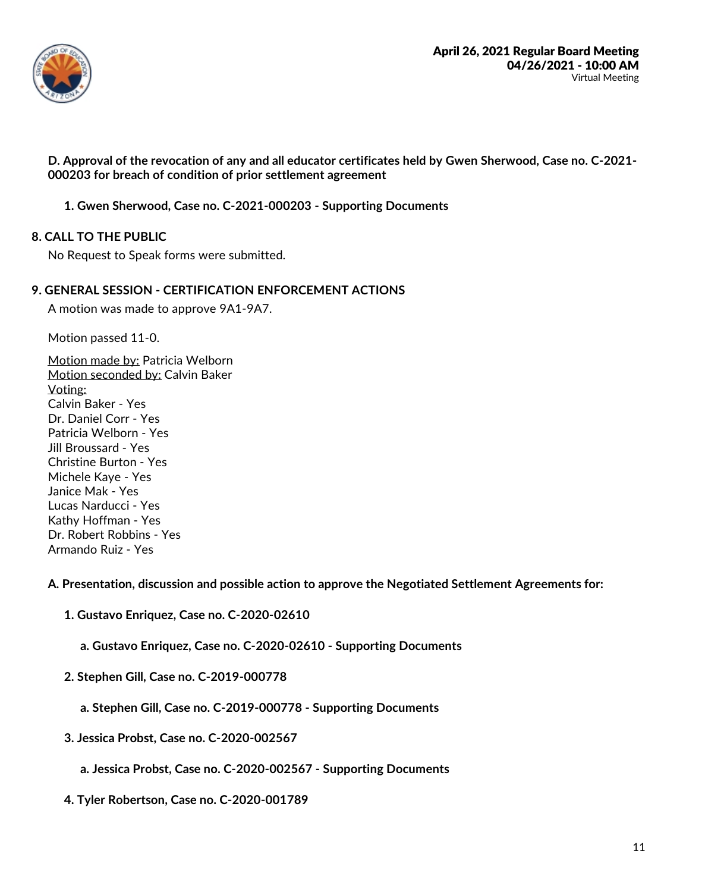

D. Approval of the revocation of any and all educator certificates held by Gwen Sherwood, Case no. C-2021-000203 for breach of condition of prior settlement agreement

**1. Gwen Sherwood, Case no. C-2021-000203 - Supporting Documents**

## **8. CALL TO THE PUBLIC**

No Request to Speak forms were submitted.

#### **9. GENERAL SESSION - CERTIFICATION ENFORCEMENT ACTIONS**

A motion was made to approve 9A1-9A7.

Motion passed 11-0.

Motion made by: Patricia Welborn Motion seconded by: Calvin Baker Voting: Calvin Baker - Yes Dr. Daniel Corr - Yes Patricia Welborn - Yes Jill Broussard - Yes Christine Burton - Yes Michele Kaye -Yes Janice Mak - Yes Lucas Narducci - Yes Kathy Hoffman - Yes Dr. Robert Robbins - Yes Armando Ruiz - Yes

**A. Presentation, discussion and possible action to approve the Negotiated Settlement Agreements for:**

**1. Gustavo Enriquez, Case no. C-2020-02610**

**a. Gustavo Enriquez, Case no. C-2020-02610 - Supporting Documents**

- **2. Stephen Gill, Case no. C-2019-000778**
	- **a. Stephen Gill, Case no. C-2019-000778 - Supporting Documents**
- **3. Jessica Probst, Case no. C-2020-002567**
	- **a. Jessica Probst, Case no. C-2020-002567 - Supporting Documents**
- **4. Tyler Robertson, Case no. C-2020-001789**